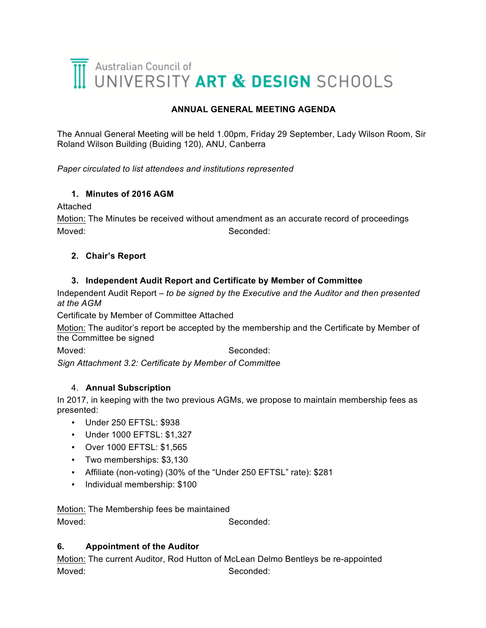# Australian Council of<br>UNIVERSITY ART & DESIGN SCHOOLS

## **ANNUAL GENERAL MEETING AGENDA**

The Annual General Meeting will be held 1.00pm, Friday 29 September, Lady Wilson Room, Sir Roland Wilson Building (Buiding 120), ANU, Canberra

*Paper circulated to list attendees and institutions represented*

### **1. Minutes of 2016 AGM**

#### Attached

Motion: The Minutes be received without amendment as an accurate record of proceedings Moved: Seconded:

### **2. Chair's Report**

#### **3. Independent Audit Report and Certificate by Member of Committee**

Independent Audit Report – *to be signed by the Executive and the Auditor and then presented at the AGM*

Certificate by Member of Committee Attached

Motion: The auditor's report be accepted by the membership and the Certificate by Member of the Committee be signed

Moved: Seconded:

*Sign Attachment 3.2: Certificate by Member of Committee*

### 4. **Annual Subscription**

In 2017, in keeping with the two previous AGMs, we propose to maintain membership fees as presented:

- Under 250 EFTSL: \$938
- Under 1000 EFTSL: \$1,327
- Over 1000 EFTSL: \$1,565
- Two memberships: \$3,130
- Affiliate (non-voting) (30% of the "Under 250 EFTSL" rate): \$281
- Individual membership: \$100

Motion: The Membership fees be maintained

Moved: Seconded:

### **6. Appointment of the Auditor**

Motion: The current Auditor, Rod Hutton of McLean Delmo Bentleys be re-appointed Moved: Seconded: